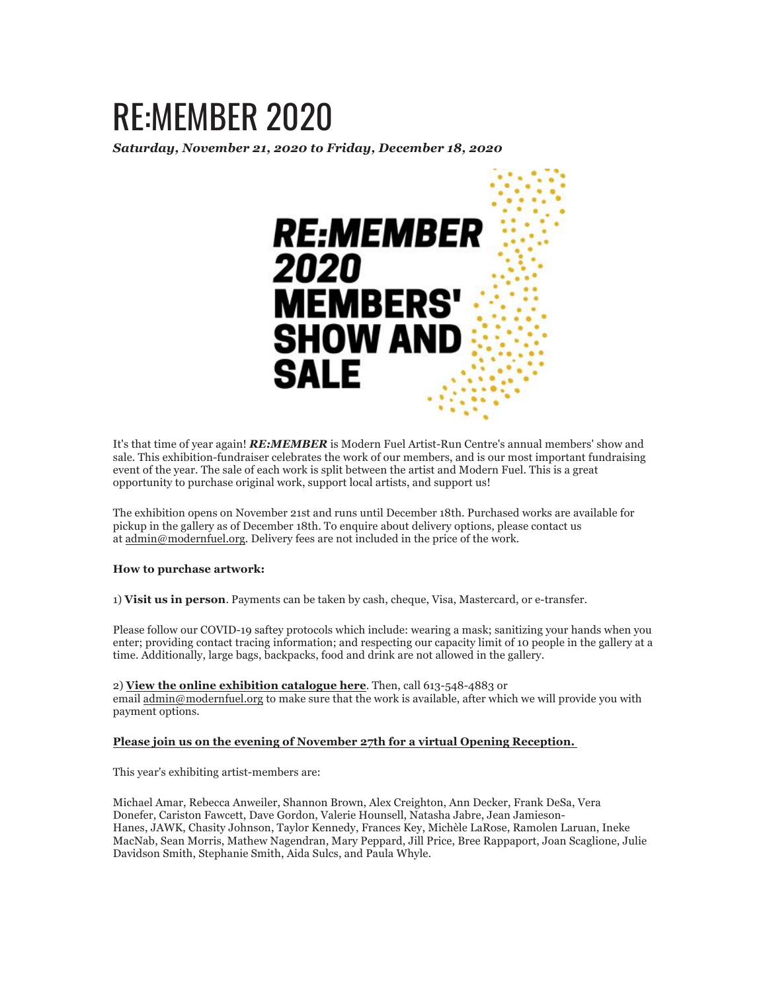## RE:MEMBER 2020

*Saturday, November 21, 2020 to Friday, December 18, 2020*



It's that time of year again! *RE:MEMBER* is Modern Fuel Artist-Run Centre's annual members' show and sale. This exhibition-fundraiser celebrates the work of our members, and is our most important fundraising event of the year. The sale of each work is split between the artist and Modern Fuel. This is a great opportunity to purchase original work, support local artists, and support us!

The exhibition opens on November 21st and runs until December 18th. Purchased works are available for pickup in the gallery as of December 18th. To enquire about delivery options, please contact us at admin@modernfuel.org. Delivery fees are not included in the price of the work.

## **How to purchase artwork:**

1) **Visit us in person**. Payments can be taken by cash, cheque, Visa, Mastercard, or e-transfer.

Please follow our COVID-19 saftey protocols which include: wearing a mask; sanitizing your hands when you enter; providing contact tracing information; and respecting our capacity limit of 10 people in the gallery at a time. Additionally, large bags, backpacks, food and drink are not allowed in the gallery.

2) **View the online exhibition catalogue here**. Then, call 613-548-4883 or email admin@modernfuel.org to make sure that the work is available, after which we will provide you with payment options.

## **Please join us on the evening of November 27th for a virtual Opening Reception.**

This year's exhibiting artist-members are:

Michael Amar, Rebecca Anweiler, Shannon Brown, Alex Creighton, Ann Decker, Frank DeSa, Vera Donefer, Cariston Fawcett, Dave Gordon, Valerie Hounsell, Natasha Jabre, Jean Jamieson-Hanes, JAWK, Chasity Johnson, Taylor Kennedy, Frances Key, Michèle LaRose, Ramolen Laruan, Ineke MacNab, Sean Morris, Mathew Nagendran, Mary Peppard, Jill Price, Bree Rappaport, Joan Scaglione, Julie Davidson Smith, Stephanie Smith, Aida Sulcs, and Paula Whyle.